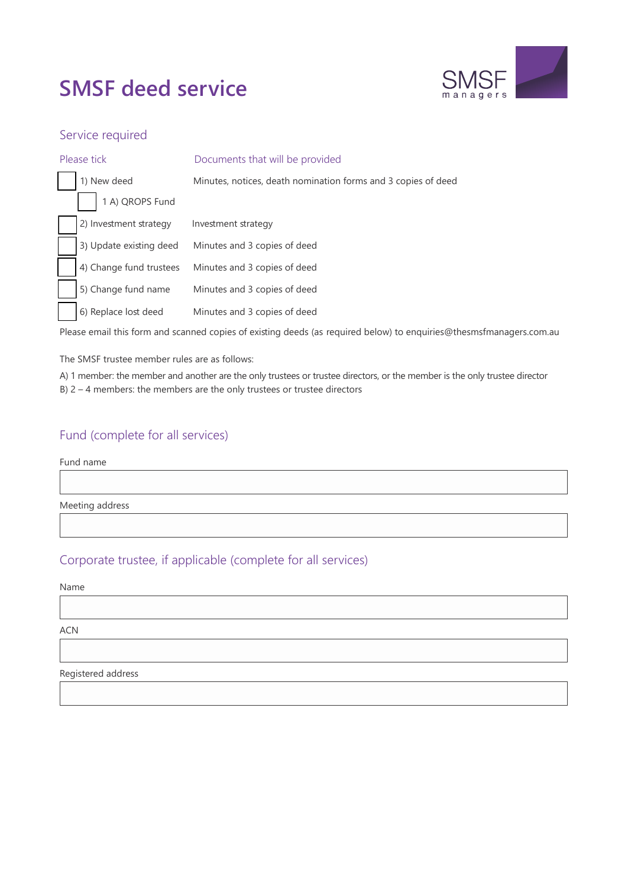# **SMSF deed service**



### Service required

| Please tick |                         | Documents that will be provided                               |  |  |
|-------------|-------------------------|---------------------------------------------------------------|--|--|
|             | 1) New deed             | Minutes, notices, death nomination forms and 3 copies of deed |  |  |
|             | 1 A) QROPS Fund         |                                                               |  |  |
|             | 2) Investment strategy  | Investment strategy                                           |  |  |
|             | 3) Update existing deed | Minutes and 3 copies of deed                                  |  |  |
|             | 4) Change fund trustees | Minutes and 3 copies of deed                                  |  |  |
|             | 5) Change fund name     | Minutes and 3 copies of deed                                  |  |  |
|             | 6) Replace lost deed    | Minutes and 3 copies of deed                                  |  |  |

Please email this form and scanned copies of existing deeds (as required below) [to enquiries@thesmsfmanagers.com.au](mailto:enquiries@thesmsfmanagers.com.au)

The SMSF trustee member rules are as follows:

A) 1 member: the member and another are the only trustees or trustee directors, or the member is the only trustee director B) 2 – 4 members: the members are the only trustees or trustee directors

### Fund (complete for all services)

Fund name

Meeting address

### Corporate trustee, if applicable (complete for all services)

#### Name

ACN

Registered address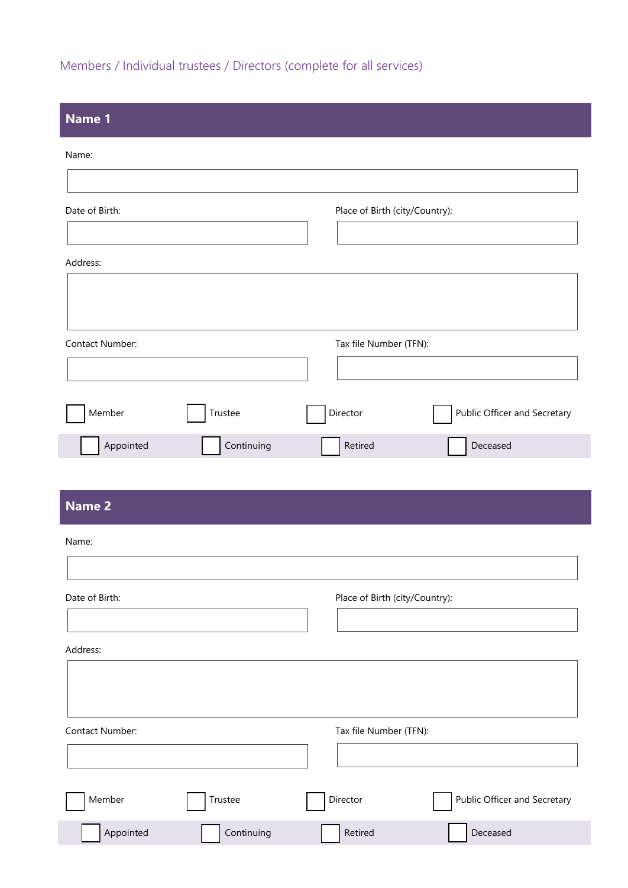# Members / Individual trustees / Directors (complete for all services)

| Name 1          |            |                                          |
|-----------------|------------|------------------------------------------|
| Name:           |            |                                          |
|                 |            |                                          |
| Date of Birth:  |            | Place of Birth (city/Country):           |
| Address:        |            |                                          |
|                 |            |                                          |
|                 |            |                                          |
| Contact Number: |            | Tax file Number (TFN):                   |
|                 |            |                                          |
| Member          | Trustee    | Public Officer and Secretary<br>Director |
| Appointed       | Continuing | Retired<br>Deceased                      |
|                 |            |                                          |
| <b>Name 2</b>   |            |                                          |
| Name:           |            |                                          |
| Date of Birth:  |            | Place of Birth (city/Country):           |
|                 |            |                                          |
| Address:        |            |                                          |
|                 |            |                                          |
| Contact Number: |            | Tax file Number (TFN):                   |
|                 |            |                                          |
| Member          | Trustee    | Public Officer and Secretary<br>Director |
| Appointed       | Continuing | Deceased<br>Retired                      |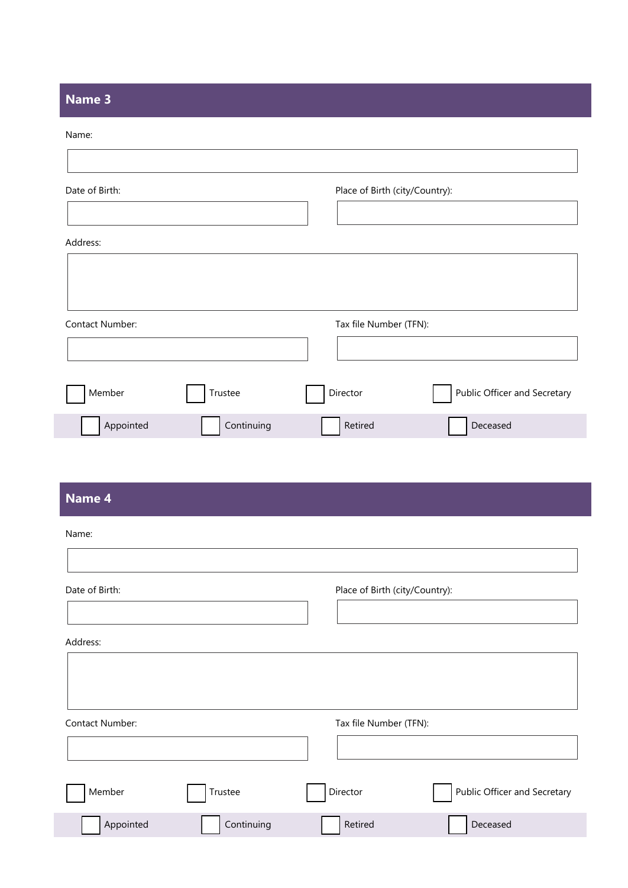### **Name 3**

#### Name:

| Date of Birth:  |         | Place of Birth (city/Country): |                              |
|-----------------|---------|--------------------------------|------------------------------|
| Address:        |         |                                |                              |
| Contact Number: |         | Tax file Number (TFN):         |                              |
|                 |         |                                |                              |
|                 |         |                                |                              |
| Member          | Trustee | Director                       | Public Officer and Secretary |

# **Name 4**

| Name:           |            |                                |                              |
|-----------------|------------|--------------------------------|------------------------------|
| Date of Birth:  |            | Place of Birth (city/Country): |                              |
| Address:        |            |                                |                              |
| Contact Number: |            | Tax file Number (TFN):         |                              |
|                 |            |                                |                              |
| Member          | Trustee    | Director                       | Public Officer and Secretary |
| Appointed       | Continuing | Retired                        | Deceased                     |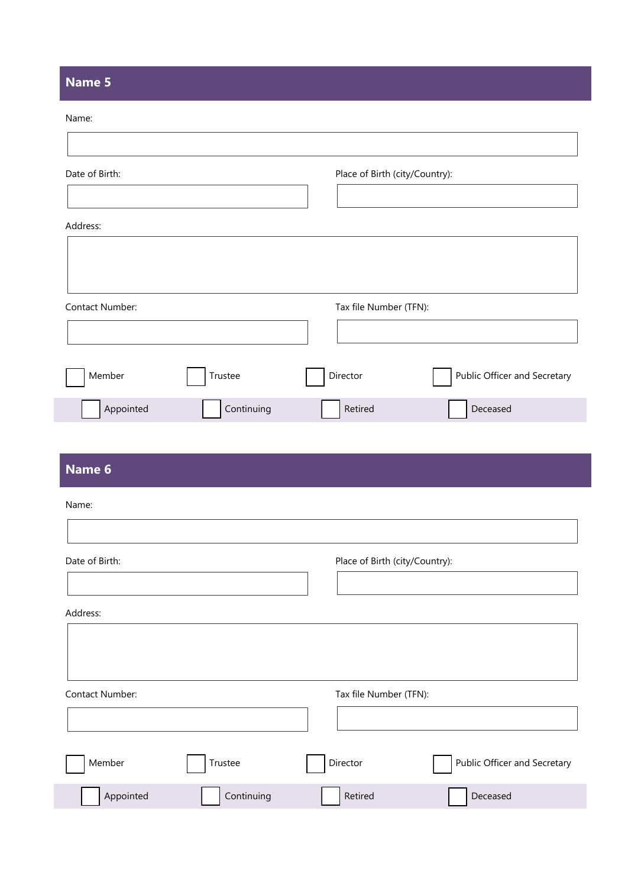## **Name 5**

|  | m נ |  |
|--|-----|--|

| Date of Birth:  |            | Place of Birth (city/Country):           |  |
|-----------------|------------|------------------------------------------|--|
| Address:        |            |                                          |  |
| Contact Number: |            | Tax file Number (TFN):                   |  |
| Member          | Trustee    | Public Officer and Secretary<br>Director |  |
| Appointed       | Continuing | Deceased<br>Retired                      |  |
| Name 6          |            |                                          |  |
| Name:           |            |                                          |  |
|                 |            |                                          |  |
| Date of Birth:  |            | Place of Birth (city/Country):           |  |
| Address:        |            |                                          |  |

Contact Number: Tax file Number (TFN):

| Member    | Trustee    | Director | Public Officer and Secretary |
|-----------|------------|----------|------------------------------|
| Appointed | Continuing | Retired  | Deceased                     |